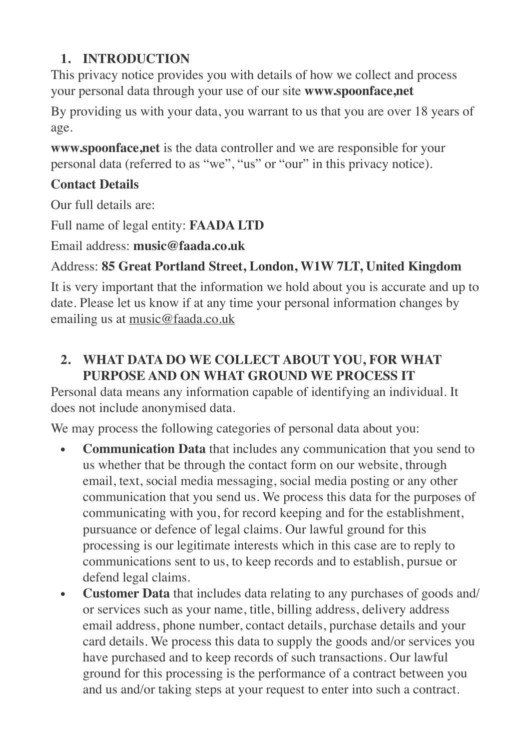# **1. INTRODUCTION**

This privacy notice provides you with details of how we collect and process your personal data through your use of our site **www.spoonface,net**

By providing us with your data, you warrant to us that you are over 18 years of age.

**www.spoonface,net** is the data controller and we are responsible for your personal data (referred to as "we", "us" or "our" in this privacy notice).

## **Contact Details**

Our full details are:

Full name of legal entity: **FAADA LTD**

Email address: **music@faada.co.uk**

## Address: **85 Great Portland Street, London, W1W 7LT, United Kingdom**

It is very important that the information we hold about you is accurate and up to date. Please let us know if at any time your personal information changes by emailing us at [music@faada.co.uk](mailto:music@faada.co.uk)

## **2. WHAT DATA DO WE COLLECT ABOUT YOU, FOR WHAT PURPOSE AND ON WHAT GROUND WE PROCESS IT**

Personal data means any information capable of identifying an individual. It does not include anonymised data.

We may process the following categories of personal data about you:

- **• Communication Data** that includes any communication that you send to us whether that be through the contact form on our website, through email, text, social media messaging, social media posting or any other communication that you send us. We process this data for the purposes of communicating with you, for record keeping and for the establishment, pursuance or defence of legal claims. Our lawful ground for this processing is our legitimate interests which in this case are to reply to communications sent to us, to keep records and to establish, pursue or defend legal claims.
- **• Customer Data** that includes data relating to any purchases of goods and/ or services such as your name, title, billing address, delivery address email address, phone number, contact details, purchase details and your card details. We process this data to supply the goods and/or services you have purchased and to keep records of such transactions. Our lawful ground for this processing is the performance of a contract between you and us and/or taking steps at your request to enter into such a contract.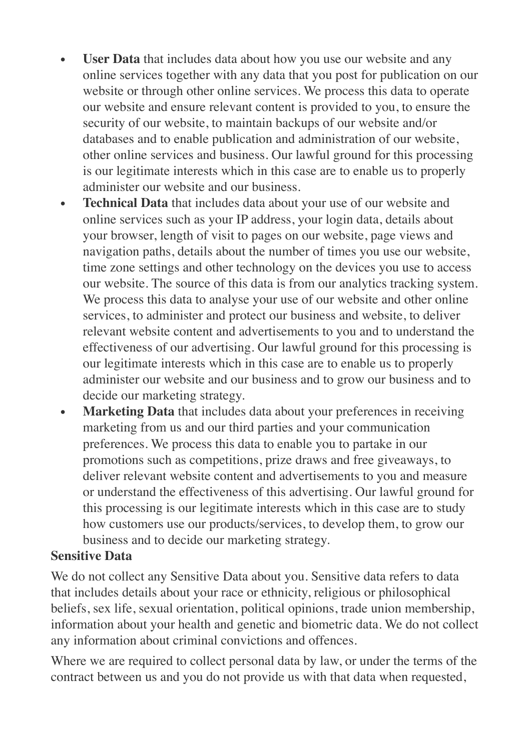- **• User Data** that includes data about how you use our website and any online services together with any data that you post for publication on our website or through other online services. We process this data to operate our website and ensure relevant content is provided to you, to ensure the security of our website, to maintain backups of our website and/or databases and to enable publication and administration of our website, other online services and business. Our lawful ground for this processing is our legitimate interests which in this case are to enable us to properly administer our website and our business.
- **• Technical Data** that includes data about your use of our website and online services such as your IP address, your login data, details about your browser, length of visit to pages on our website, page views and navigation paths, details about the number of times you use our website, time zone settings and other technology on the devices you use to access our website. The source of this data is from our analytics tracking system. We process this data to analyse your use of our website and other online services, to administer and protect our business and website, to deliver relevant website content and advertisements to you and to understand the effectiveness of our advertising. Our lawful ground for this processing is our legitimate interests which in this case are to enable us to properly administer our website and our business and to grow our business and to decide our marketing strategy.
- **• Marketing Data** that includes data about your preferences in receiving marketing from us and our third parties and your communication preferences. We process this data to enable you to partake in our promotions such as competitions, prize draws and free giveaways, to deliver relevant website content and advertisements to you and measure or understand the effectiveness of this advertising. Our lawful ground for this processing is our legitimate interests which in this case are to study how customers use our products/services, to develop them, to grow our business and to decide our marketing strategy.

#### **Sensitive Data**

We do not collect any Sensitive Data about you. Sensitive data refers to data that includes details about your race or ethnicity, religious or philosophical beliefs, sex life, sexual orientation, political opinions, trade union membership, information about your health and genetic and biometric data. We do not collect any information about criminal convictions and offences.

Where we are required to collect personal data by law, or under the terms of the contract between us and you do not provide us with that data when requested,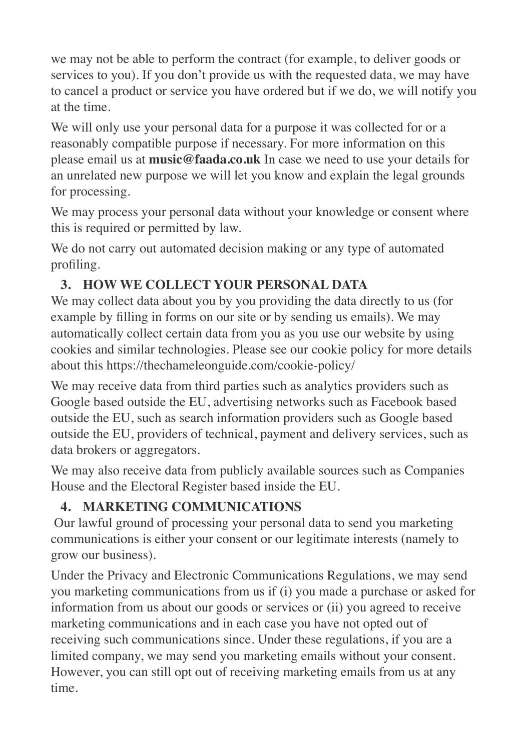we may not be able to perform the contract (for example, to deliver goods or services to you). If you don't provide us with the requested data, we may have to cancel a product or service you have ordered but if we do, we will notify you at the time.

We will only use your personal data for a purpose it was collected for or a reasonably compatible purpose if necessary. For more information on this please email us at **music@faada.co.uk** In case we need to use your details for an unrelated new purpose we will let you know and explain the legal grounds for processing.

We may process your personal data without your knowledge or consent where this is required or permitted by law.

We do not carry out automated decision making or any type of automated profiling.

## **3. HOW WE COLLECT YOUR PERSONAL DATA**

We may collect data about you by you providing the data directly to us (for example by filling in forms on our site or by sending us emails). We may automatically collect certain data from you as you use our website by using cookies and similar technologies. Please see our cookie policy for more details about this https://thechameleonguide.com/cookie-policy/

We may receive data from third parties such as analytics providers such as Google based outside the EU, advertising networks such as Facebook based outside the EU, such as search information providers such as Google based outside the EU, providers of technical, payment and delivery services, such as data brokers or aggregators.

We may also receive data from publicly available sources such as Companies House and the Electoral Register based inside the EU.

# **4. MARKETING COMMUNICATIONS**

Our lawful ground of processing your personal data to send you marketing communications is either your consent or our legitimate interests (namely to grow our business).

Under the Privacy and Electronic Communications Regulations, we may send you marketing communications from us if (i) you made a purchase or asked for information from us about our goods or services or (ii) you agreed to receive marketing communications and in each case you have not opted out of receiving such communications since. Under these regulations, if you are a limited company, we may send you marketing emails without your consent. However, you can still opt out of receiving marketing emails from us at any time.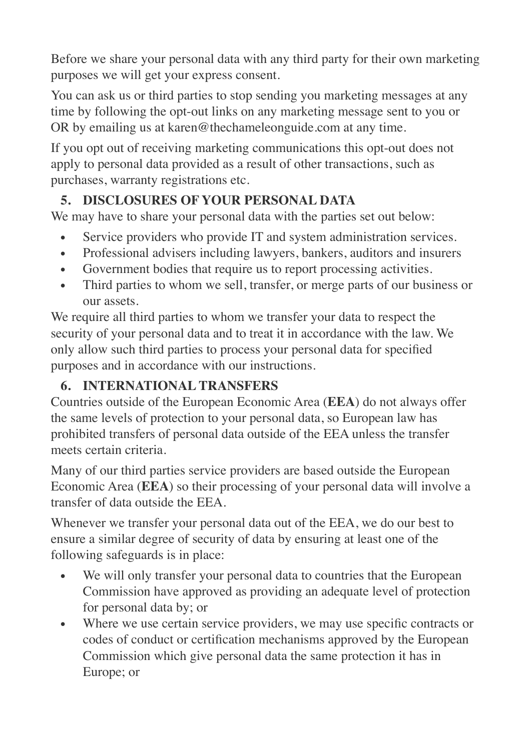Before we share your personal data with any third party for their own marketing purposes we will get your express consent.

You can ask us or third parties to stop sending you marketing messages at any time by following the opt-out links on any marketing message sent to you or OR by emailing us at karen@thechameleonguide.com at any time.

If you opt out of receiving marketing communications this opt-out does not apply to personal data provided as a result of other transactions, such as purchases, warranty registrations etc.

# **5. DISCLOSURES OF YOUR PERSONAL DATA**

We may have to share your personal data with the parties set out below:

- Service providers who provide IT and system administration services.
- Professional advisers including lawyers, bankers, auditors and insurers
- Government bodies that require us to report processing activities.
- Third parties to whom we sell, transfer, or merge parts of our business or our assets.

We require all third parties to whom we transfer your data to respect the security of your personal data and to treat it in accordance with the law. We only allow such third parties to process your personal data for specified purposes and in accordance with our instructions.

# **6. INTERNATIONAL TRANSFERS**

Countries outside of the European Economic Area (**EEA**) do not always offer the same levels of protection to your personal data, so European law has prohibited transfers of personal data outside of the EEA unless the transfer meets certain criteria.

Many of our third parties service providers are based outside the European Economic Area (**EEA**) so their processing of your personal data will involve a transfer of data outside the EEA.

Whenever we transfer your personal data out of the EEA, we do our best to ensure a similar degree of security of data by ensuring at least one of the following safeguards is in place:

- We will only transfer your personal data to countries that the European Commission have approved as providing an adequate level of protection for personal data by; or
- Where we use certain service providers, we may use specific contracts or codes of conduct or certification mechanisms approved by the European Commission which give personal data the same protection it has in Europe; or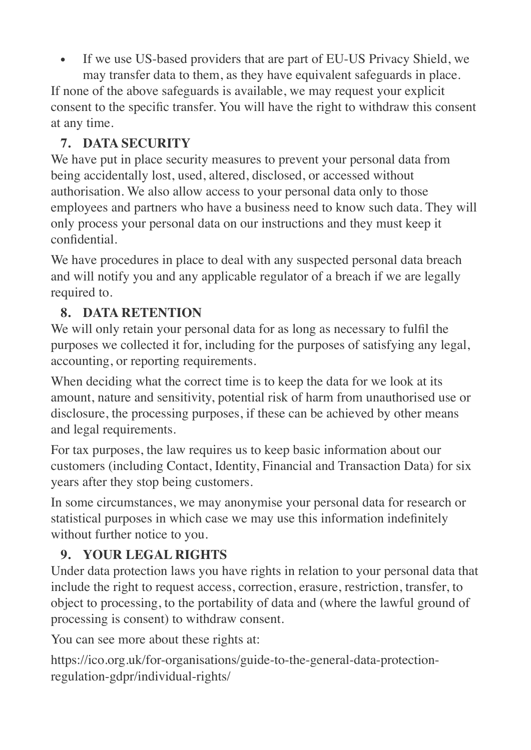If we use US-based providers that are part of EU-US Privacy Shield, we

may transfer data to them, as they have equivalent safeguards in place. If none of the above safeguards is available, we may request your explicit consent to the specific transfer. You will have the right to withdraw this consent at any time.

## **7. DATA SECURITY**

We have put in place security measures to prevent your personal data from being accidentally lost, used, altered, disclosed, or accessed without authorisation. We also allow access to your personal data only to those employees and partners who have a business need to know such data. They will only process your personal data on our instructions and they must keep it confidential.

We have procedures in place to deal with any suspected personal data breach and will notify you and any applicable regulator of a breach if we are legally required to.

# **8. DATA RETENTION**

We will only retain your personal data for as long as necessary to fulfil the purposes we collected it for, including for the purposes of satisfying any legal, accounting, or reporting requirements.

When deciding what the correct time is to keep the data for we look at its amount, nature and sensitivity, potential risk of harm from unauthorised use or disclosure, the processing purposes, if these can be achieved by other means and legal requirements.

For tax purposes, the law requires us to keep basic information about our customers (including Contact, Identity, Financial and Transaction Data) for six years after they stop being customers.

In some circumstances, we may anonymise your personal data for research or statistical purposes in which case we may use this information indefinitely without further notice to you.

# **9. YOUR LEGAL RIGHTS**

Under data protection laws you have rights in relation to your personal data that include the right to request access, correction, erasure, restriction, transfer, to object to processing, to the portability of data and (where the lawful ground of processing is consent) to withdraw consent.

You can see more about these rights at:

https://ico.org.uk/for-organisations/guide-to-the-general-data-protectionregulation-gdpr/individual-rights/